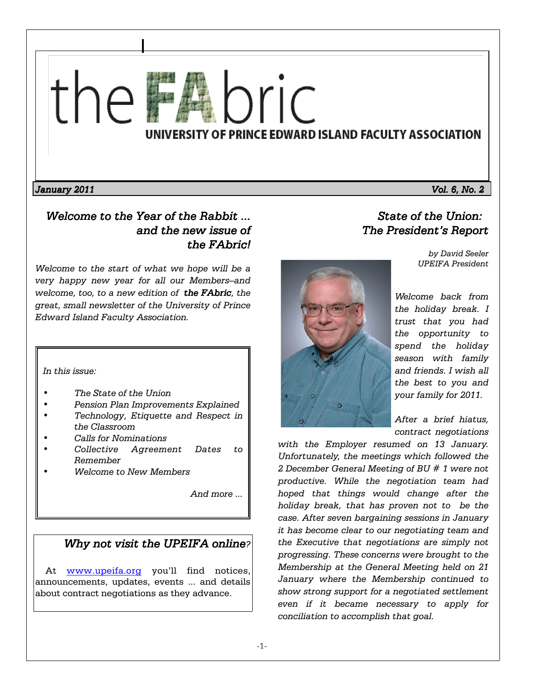

January 2011 Vol. 6, No. 2

UPEIFA President

## Welcome to the Year of the Rabbit ... and the new issue of the FAbric!

Welcome to the start of what we hope will be a very happy new year for all our Members–and welcome, too, to a new edition of the FAbric, the great, small newsletter of the University of Prince Edward Island Faculty Association.

### In this issue:

- The State of the Union
- Pension Plan Improvements Explained
- Technology, Etiquette and Respect in the Classroom
- Calls for Nominations
- Collective Agreement Dates to Remember
- Welcome to New Members

And more ...

## Why not visit the UPEIFA online?

 At www.upeifa.org you'll find notices, announcements, updates, events ... and details about contract negotiations as they advance.

# The President's Report by David Seeler

State of the Union:



Welcome back from the holiday break. I trust that you had the opportunity to spend the holiday season with family and friends. I wish all the best to you and your family for 2011.

After a brief hiatus, contract negotiations

with the Employer resumed on 13 January. Unfortunately, the meetings which followed the 2 December General Meeting of BU # 1 were not productive. While the negotiation team had hoped that things would change after the holiday break, that has proven not to be the case. After seven bargaining sessions in January it has become clear to our negotiating team and the Executive that negotiations are simply not progressing. These concerns were brought to the Membership at the General Meeting held on 21 January where the Membership continued to show strong support for a negotiated settlement even if it became necessary to apply for conciliation to accomplish that goal.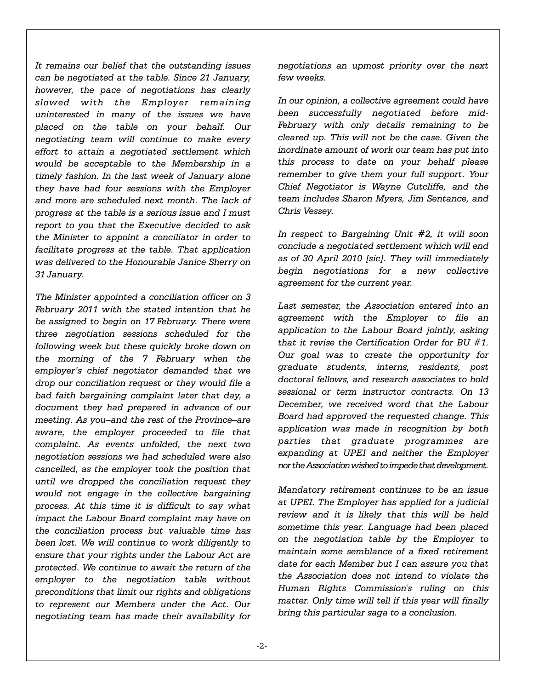It remains our belief that the outstanding issues can be negotiated at the table. Since 21 January, however, the pace of negotiations has clearly slowed with the Employer remaining uninterested in many of the issues we have placed on the table on your behalf. Our negotiating team will continue to make every effort to attain a negotiated settlement which would be acceptable to the Membership in a timely fashion. In the last week of January alone they have had four sessions with the Employer and more are scheduled next month. The lack of progress at the table is a serious issue and I must report to you that the Executive decided to ask the Minister to appoint a conciliator in order to facilitate progress at the table. That application was delivered to the Honourable Janice Sherry on 31 January.

The Minister appointed a conciliation officer on 3 February 2011 with the stated intention that he be assigned to begin on 17 February. There were three negotiation sessions scheduled for the following week but these quickly broke down on the morning of the 7 February when the employer's chief negotiator demanded that we drop our conciliation request or they would file a bad faith bargaining complaint later that day, a document they had prepared in advance of our meeting. As you–and the rest of the Province–are aware, the employer proceeded to file that complaint. As events unfolded, the next two negotiation sessions we had scheduled were also cancelled, as the employer took the position that until we dropped the conciliation request they would not engage in the collective bargaining process. At this time it is difficult to say what impact the Labour Board complaint may have on the conciliation process but valuable time has been lost. We will continue to work diligently to ensure that your rights under the Labour Act are protected. We continue to await the return of the employer to the negotiation table without preconditions that limit our rights and obligations to represent our Members under the Act. Our negotiating team has made their availability for negotiations an upmost priority over the next few weeks.

In our opinion, a collective agreement could have been successfully negotiated before mid-February with only details remaining to be cleared up. This will not be the case. Given the inordinate amount of work our team has put into this process to date on your behalf please remember to give them your full support. Your Chief Negotiator is Wayne Cutcliffe, and the team includes Sharon Myers, Jim Sentance, and Chris Vessey.

In respect to Bargaining Unit #2, it will soon conclude a negotiated settlement which will end as of 30 April 2010 [sic]. They will immediately begin negotiations for a new collective agreement for the current year.

Last semester, the Association entered into an agreement with the Employer to file an application to the Labour Board jointly, asking that it revise the Certification Order for BU #1. Our goal was to create the opportunity for graduate students, interns, residents, post doctoral fellows, and research associates to hold sessional or term instructor contracts. On 13 December, we received word that the Labour Board had approved the requested change. This application was made in recognition by both parties that graduate programmes are expanding at UPEI and neither the Employer nor the Association wished to impede that development.

Mandatory retirement continues to be an issue at UPEI. The Employer has applied for a judicial review and it is likely that this will be held sometime this year. Language had been placed on the negotiation table by the Employer to maintain some semblance of a fixed retirement date for each Member but I can assure you that the Association does not intend to violate the Human Rights Commission's ruling on this matter. Only time will tell if this year will finally bring this particular saga to a conclusion.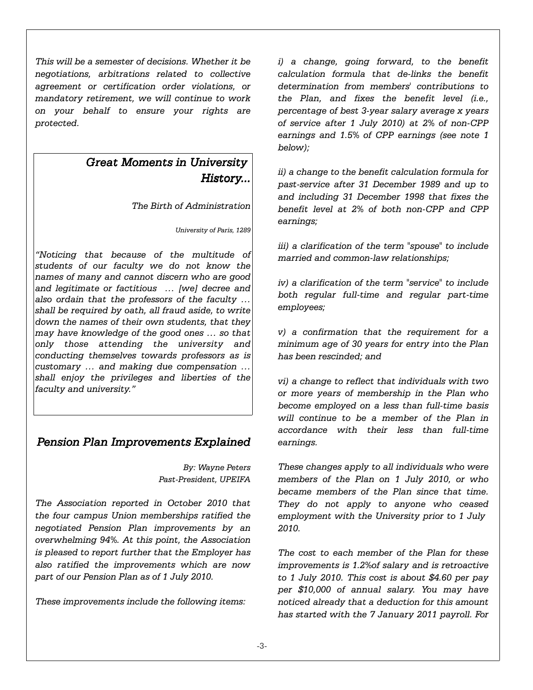This will be a semester of decisions. Whether it be negotiations, arbitrations related to collective agreement or certification order violations, or mandatory retirement, we will continue to work on your behalf to ensure your rights are protected.

# Great Moments in University History...

The Birth of Administration

University of Paris, 1289

"Noticing that because of the multitude of students of our faculty we do not know the names of many and cannot discern who are good and legitimate or factitious … [we] decree and also ordain that the professors of the faculty … shall be required by oath, all fraud aside, to write down the names of their own students, that they may have knowledge of the good ones … so that only those attending the university and conducting themselves towards professors as is customary … and making due compensation … shall enjoy the privileges and liberties of the faculty and university."

# Pension Plan Improvements Explained

By: Wayne Peters Past-President, UPEIFA

The Association reported in October 2010 that the four campus Union memberships ratified the negotiated Pension Plan improvements by an overwhelming 94%. At this point, the Association is pleased to report further that the Employer has also ratified the improvements which are now part of our Pension Plan as of 1 July 2010.

These improvements include the following items:

i) a change, going forward, to the benefit calculation formula that de-links the benefit determination from members' contributions to the Plan, and fixes the benefit level (i.e., percentage of best 3-year salary average x years of service after 1 July 2010) at 2% of non-CPP earnings and 1.5% of CPP earnings (see note 1 below);

ii) a change to the benefit calculation formula for past-service after 31 December 1989 and up to and including 31 December 1998 that fixes the benefit level at 2% of both non-CPP and CPP earnings;

iii) a clarification of the term "spouse" to include married and common-law relationships;

iv) a clarification of the term "service" to include both regular full-time and regular part-time employees;

v) a confirmation that the requirement for a minimum age of 30 years for entry into the Plan has been rescinded; and

vi) a change to reflect that individuals with two or more years of membership in the Plan who become employed on a less than full-time basis will continue to be a member of the Plan in accordance with their less than full-time earnings.

These changes apply to all individuals who were members of the Plan on 1 July 2010, or who became members of the Plan since that time. They do not apply to anyone who ceased employment with the University prior to 1 July 2010.

The cost to each member of the Plan for these improvements is 1.2%of salary and is retroactive to 1 July 2010. This cost is about \$4.60 per pay per \$10,000 of annual salary. You may have noticed already that a deduction for this amount has started with the 7 January 2011 payroll. For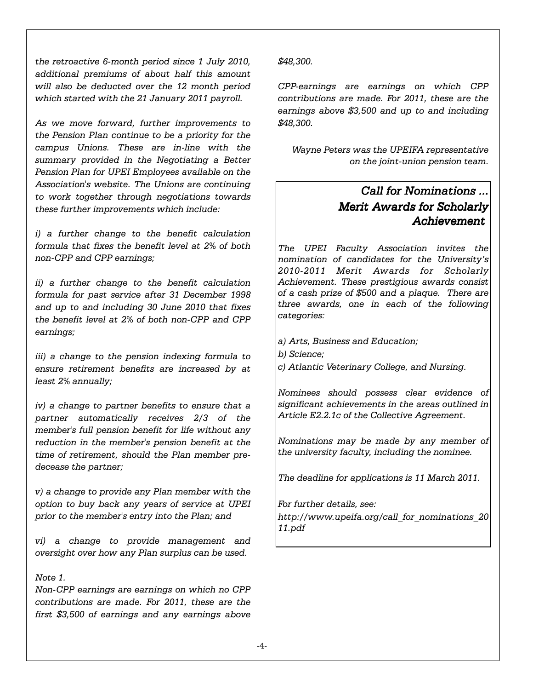the retroactive 6-month period since 1 July 2010, additional premiums of about half this amount will also be deducted over the 12 month period which started with the 21 January 2011 payroll.

As we move forward, further improvements to the Pension Plan continue to be a priority for the campus Unions. These are in-line with the summary provided in the Negotiating a Better Pension Plan for UPEI Employees available on the Association's website. The Unions are continuing to work together through negotiations towards these further improvements which include:

i) a further change to the benefit calculation formula that fixes the benefit level at 2% of both non-CPP and CPP earnings;

ii) a further change to the benefit calculation formula for past service after 31 December 1998 and up to and including 30 June 2010 that fixes the benefit level at 2% of both non-CPP and CPP earnings;

iii) a change to the pension indexing formula to ensure retirement benefits are increased by at least 2% annually;

iv) a change to partner benefits to ensure that a partner automatically receives 2/3 of the member's full pension benefit for life without any reduction in the member's pension benefit at the time of retirement, should the Plan member predecease the partner;

v) a change to provide any Plan member with the option to buy back any years of service at UPEI prior to the member's entry into the Plan; and

vi) a change to provide management and oversight over how any Plan surplus can be used.

### Note 1.

Non-CPP earnings are earnings on which no CPP contributions are made. For 2011, these are the first \$3,500 of earnings and any earnings above \$48,300.

CPP-earnings are earnings on which CPP contributions are made. For 2011, these are the earnings above \$3,500 and up to and including \$48,300.

Wayne Peters was the UPEIFA representative on the joint-union pension team.

# Call for Nominations ... Merit Awards for Scholarly Achievement Achievement

The UPEI Faculty Association invites the nomination of candidates for the University's 2010-2011 Merit Awards for Scholarly Achievement. These prestigious awards consist of a cash prize of \$500 and a plaque. There are three awards, one in each of the following categories:

- a) Arts, Business and Education;
- b) Science;
- c) Atlantic Veterinary College, and Nursing.

Nominees should possess clear evidence of significant achievements in the areas outlined in Article E2.2.1c of the Collective Agreement.

Nominations may be made by any member of the university faculty, including the nominee.

The deadline for applications is 11 March 2011.

For further details, see:

http://www.upeifa.org/call\_for\_nominations\_20 11.pdf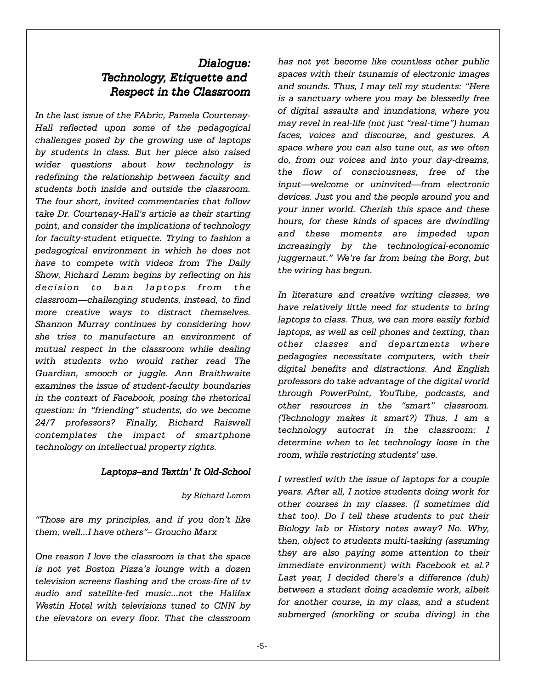# Dialogue: Technology, Etiquette and Respect in the Classroom

In the last issue of the FAbric, Pamela Courtenay-Hall reflected upon some of the pedagogical challenges posed by the growing use of laptops by students in class. But her piece also raised wider questions about how technology is redefining the relationship between faculty and students both inside and outside the classroom. The four short, invited commentaries that follow take Dr. Courtenay-Hall's article as their starting point, and consider the implications of technology for faculty-student etiquette. Trying to fashion a pedagogical environment in which he does not have to compete with videos from The Daily Show, Richard Lemm begins by reflecting on his decision to ban laptops from the classroom—challenging students, instead, to find more creative ways to distract themselves. Shannon Murray continues by considering how she tries to manufacture an environment of mutual respect in the classroom while dealing with students who would rather read The Guardian, smooch or juggle. Ann Braithwaite examines the issue of student-faculty boundaries in the context of Facebook, posing the rhetorical question: in "friending" students, do we become 24/7 professors? Finally, Richard Raiswell contemplates the impact of smartphone technology on intellectual property rights.

## Laptops–and Textin' It Old-School

by Richard Lemm

"Those are my principles, and if you don't like them, well...I have others"– Groucho Marx

One reason I love the classroom is that the space is not yet Boston Pizza's lounge with a dozen television screens flashing and the cross-fire of tv audio and satellite-fed music...not the Halifax Westin Hotel with televisions tuned to CNN by the elevators on every floor. That the classroom has not yet become like countless other public spaces with their tsunamis of electronic images and sounds. Thus, I may tell my students: "Here is a sanctuary where you may be blessedly free of digital assaults and inundations, where you may revel in real-life (not just "real-time") human faces, voices and discourse, and gestures. A space where you can also tune out, as we often do, from our voices and into your day-dreams, the flow of consciousness, free of the input—welcome or uninvited—from electronic devices. Just you and the people around you and your inner world. Cherish this space and these hours, for these kinds of spaces are dwindling and these moments are impeded upon increasingly by the technological-economic juggernaut." We're far from being the Borg, but the wiring has begun.

In literature and creative writing classes, we have relatively little need for students to bring laptops to class. Thus, we can more easily forbid laptops, as well as cell phones and texting, than other classes and departments where pedagogies necessitate computers, with their digital benefits and distractions. And English professors do take advantage of the digital world through PowerPoint, YouTube, podcasts, and other resources in the "smart" classroom. (Technology makes it smart?) Thus, I am a technology autocrat in the classroom: I determine when to let technology loose in the room, while restricting students' use.

I wrestled with the issue of laptops for a couple years. After all, I notice students doing work for other courses in my classes. (I sometimes did that too). Do I tell these students to put their Biology lab or History notes away? No. Why, then, object to students multi-tasking (assuming they are also paying some attention to their immediate environment) with Facebook et al.? Last year, I decided there's a difference (duh) between a student doing academic work, albeit for another course, in my class, and a student submerged (snorkling or scuba diving) in the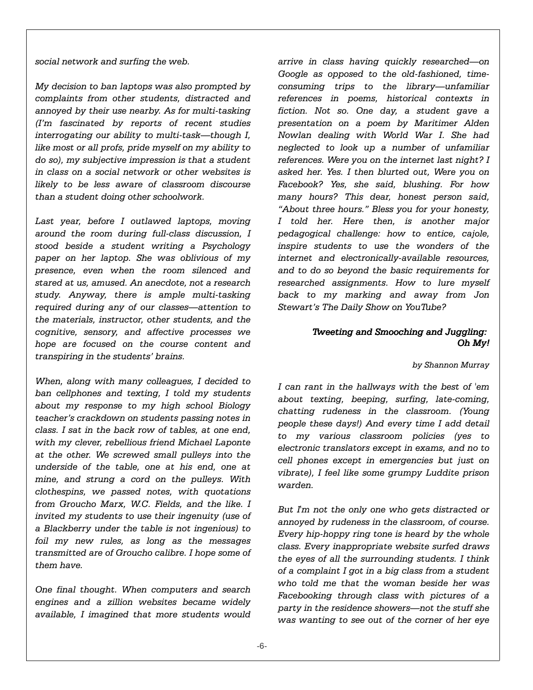social network and surfing the web.

My decision to ban laptops was also prompted by complaints from other students, distracted and annoyed by their use nearby. As for multi-tasking (I'm fascinated by reports of recent studies interrogating our ability to multi-task—though I, like most or all profs, pride myself on my ability to do so), my subjective impression is that a student in class on a social network or other websites is likely to be less aware of classroom discourse than a student doing other schoolwork.

Last year, before I outlawed laptops, moving around the room during full-class discussion, I stood beside a student writing a Psychology paper on her laptop. She was oblivious of my presence, even when the room silenced and stared at us, amused. An anecdote, not a research study. Anyway, there is ample multi-tasking required during any of our classes—attention to the materials, instructor, other students, and the cognitive, sensory, and affective processes we hope are focused on the course content and transpiring in the students' brains.

When, along with many colleagues, I decided to ban cellphones and texting, I told my students about my response to my high school Biology teacher's crackdown on students passing notes in class. I sat in the back row of tables, at one end, with my clever, rebellious friend Michael Laponte at the other. We screwed small pulleys into the underside of the table, one at his end, one at mine, and strung a cord on the pulleys. With clothespins, we passed notes, with quotations from Groucho Marx, W.C. Fields, and the like. I invited my students to use their ingenuity (use of a Blackberry under the table is not ingenious) to foil my new rules, as long as the messages transmitted are of Groucho calibre. I hope some of them have.

One final thought. When computers and search engines and a zillion websites became widely available, I imagined that more students would arrive in class having quickly researched—on Google as opposed to the old-fashioned, timeconsuming trips to the library—unfamiliar references in poems, historical contexts in fiction. Not so. One day, a student gave a presentation on a poem by Maritimer Alden Nowlan dealing with World War I. She had neglected to look up a number of unfamiliar references. Were you on the internet last night? I asked her. Yes. I then blurted out, Were you on Facebook? Yes, she said, blushing. For how many hours? This dear, honest person said, "About three hours." Bless you for your honesty, I told her. Here then, is another major pedagogical challenge: how to entice, cajole, inspire students to use the wonders of the internet and electronically-available resources, and to do so beyond the basic requirements for researched assignments. How to lure myself back to my marking and away from Jon Stewart's The Daily Show on YouTube?

## Tweeting and Smooching and Juggling: Oh My!

#### by Shannon Murray

I can rant in the hallways with the best of 'em about texting, beeping, surfing, late-coming, chatting rudeness in the classroom. (Young people these days!) And every time I add detail to my various classroom policies (yes to electronic translators except in exams, and no to cell phones except in emergencies but just on vibrate), I feel like some grumpy Luddite prison warden.

But I'm not the only one who gets distracted or annoyed by rudeness in the classroom, of course. Every hip-hoppy ring tone is heard by the whole class. Every inappropriate website surfed draws the eyes of all the surrounding students. I think of a complaint I got in a big class from a student who told me that the woman beside her was Facebooking through class with pictures of a party in the residence showers—not the stuff she was wanting to see out of the corner of her eye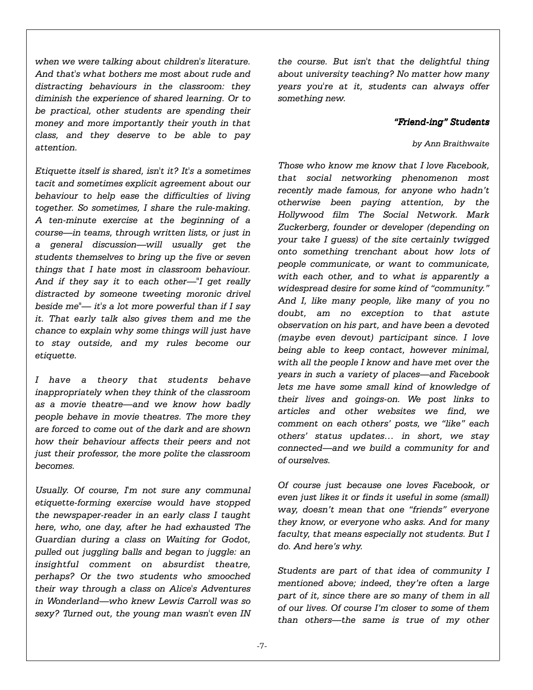when we were talking about children's literature. And that's what bothers me most about rude and distracting behaviours in the classroom: they diminish the experience of shared learning. Or to be practical, other students are spending their money and more importantly their youth in that class, and they deserve to be able to pay attention.

Etiquette itself is shared, isn't it? It's a sometimes tacit and sometimes explicit agreement about our behaviour to help ease the difficulties of living together. So sometimes, I share the rule-making. A ten-minute exercise at the beginning of a course—in teams, through written lists, or just in a general discussion—will usually get the students themselves to bring up the five or seven things that I hate most in classroom behaviour. And if they say it to each other—"I get really distracted by someone tweeting moronic drivel beside me"— it's a lot more powerful than if I say it. That early talk also gives them and me the chance to explain why some things will just have to stay outside, and my rules become our etiquette.

I have a theory that students behave inappropriately when they think of the classroom as a movie theatre—and we know how badly people behave in movie theatres. The more they are forced to come out of the dark and are shown how their behaviour affects their peers and not just their professor, the more polite the classroom becomes.

Usually. Of course, I'm not sure any communal etiquette-forming exercise would have stopped the newspaper-reader in an early class I taught here, who, one day, after he had exhausted The Guardian during a class on Waiting for Godot, pulled out juggling balls and began to juggle: an insightful comment on absurdist theatre, perhaps? Or the two students who smooched their way through a class on Alice's Adventures in Wonderland—who knew Lewis Carroll was so sexy? Turned out, the young man wasn't even IN

the course. But isn't that the delightful thing about university teaching? No matter how many years you're at it, students can always offer something new.

#### "Friend-ing" Students

#### by Ann Braithwaite

Those who know me know that I love Facebook, that social networking phenomenon most recently made famous, for anyone who hadn't otherwise been paying attention, by the Hollywood film The Social Network. Mark Zuckerberg, founder or developer (depending on your take I guess) of the site certainly twigged onto something trenchant about how lots of people communicate, or want to communicate, with each other, and to what is apparently a widespread desire for some kind of "community." And I, like many people, like many of you no doubt, am no exception to that astute observation on his part, and have been a devoted (maybe even devout) participant since. I love being able to keep contact, however minimal, with all the people I know and have met over the years in such a variety of places—and Facebook lets me have some small kind of knowledge of their lives and goings-on. We post links to articles and other websites we find, we comment on each others' posts, we "like" each others' status updates… in short, we stay connected—and we build a community for and of ourselves.

Of course just because one loves Facebook, or even just likes it or finds it useful in some (small) way, doesn't mean that one "friends" everyone they know, or everyone who asks. And for many faculty, that means especially not students. But I do. And here's why.

Students are part of that idea of community I mentioned above; indeed, they're often a large part of it, since there are so many of them in all of our lives. Of course I'm closer to some of them than others—the same is true of my other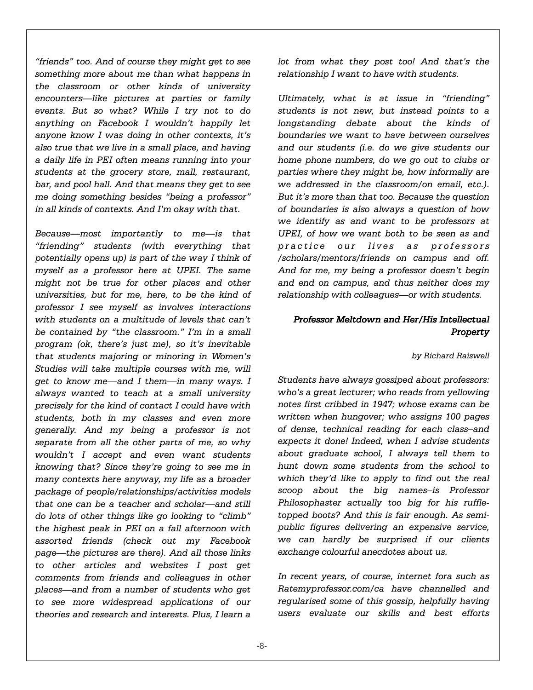"friends" too. And of course they might get to see something more about me than what happens in the classroom or other kinds of university encounters—like pictures at parties or family events. But so what? While I try not to do anything on Facebook I wouldn't happily let anyone know I was doing in other contexts, it's also true that we live in a small place, and having a daily life in PEI often means running into your students at the grocery store, mall, restaurant, bar, and pool hall. And that means they get to see me doing something besides "being a professor" in all kinds of contexts. And I'm okay with that.

Because—most importantly to me—is that "friending" students (with everything that potentially opens up) is part of the way I think of myself as a professor here at UPEI. The same might not be true for other places and other universities, but for me, here, to be the kind of professor I see myself as involves interactions with students on a multitude of levels that can't be contained by "the classroom." I'm in a small program (ok, there's just me), so it's inevitable that students majoring or minoring in Women's Studies will take multiple courses with me, will get to know me—and I them—in many ways. I always wanted to teach at a small university precisely for the kind of contact I could have with students, both in my classes and even more generally. And my being a professor is not separate from all the other parts of me, so why wouldn't I accept and even want students knowing that? Since they're going to see me in many contexts here anyway, my life as a broader package of people/relationships/activities models that one can be a teacher and scholar—and still do lots of other things like go looking to "climb" the highest peak in PEI on a fall afternoon with assorted friends (check out my Facebook page—the pictures are there). And all those links to other articles and websites I post get comments from friends and colleagues in other places—and from a number of students who get to see more widespread applications of our theories and research and interests. Plus, I learn a

lot from what they post too! And that's the relationship I want to have with students.

Ultimately, what is at issue in "friending" students is not new, but instead points to a longstanding debate about the kinds of boundaries we want to have between ourselves and our students (i.e. do we give students our home phone numbers, do we go out to clubs or parties where they might be, how informally are we addressed in the classroom/on email, etc.). But it's more than that too. Because the question of boundaries is also always a question of how we identify as and want to be professors at UPEI, of how we want both to be seen as and practice our lives as professors /scholars/mentors/friends on campus and off. And for me, my being a professor doesn't begin and end on campus, and thus neither does my relationship with colleagues—or with students.

## Professor Meltdown and Her/His Intellectual Property

### by Richard Raiswell

Students have always gossiped about professors: who's a great lecturer; who reads from yellowing notes first cribbed in 1947; whose exams can be written when hungover; who assigns 100 pages of dense, technical reading for each class–and expects it done! Indeed, when I advise students about graduate school, I always tell them to hunt down some students from the school to which they'd like to apply to find out the real scoop about the big names–is Professor Philosophaster actually too big for his ruffletopped boots? And this is fair enough. As semipublic figures delivering an expensive service, we can hardly be surprised if our clients exchange colourful anecdotes about us.

In recent years, of course, internet fora such as Ratemyprofessor.com/ca have channelled and regularised some of this gossip, helpfully having users evaluate our skills and best efforts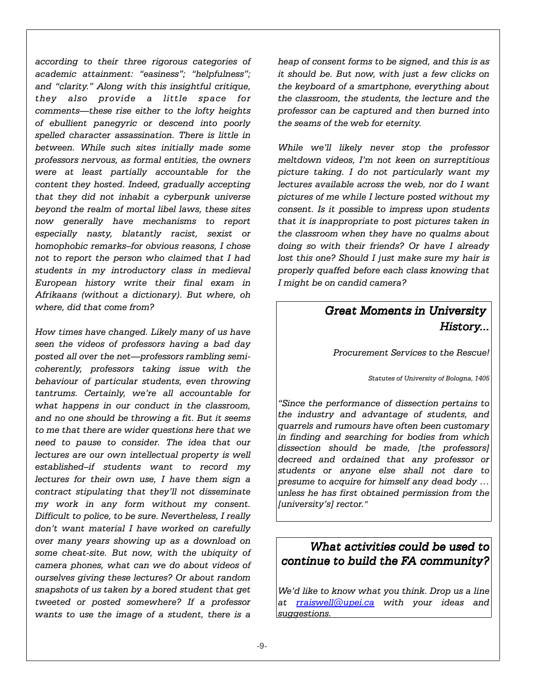according to their three rigorous categories of academic attainment: "easiness"; "helpfulness"; and "clarity." Along with this insightful critique, they also provide a little space for comments—these rise either to the lofty heights of ebullient panegyric or descend into poorly spelled character assassination. There is little in between. While such sites initially made some professors nervous, as formal entities, the owners were at least partially accountable for the content they hosted. Indeed, gradually accepting that they did not inhabit a cyberpunk universe beyond the realm of mortal libel laws, these sites now generally have mechanisms to report especially nasty, blatantly racist, sexist or homophobic remarks–for obvious reasons, I chose not to report the person who claimed that I had students in my introductory class in medieval European history write their final exam in Afrikaans (without a dictionary). But where, oh where, did that come from?

How times have changed. Likely many of us have seen the videos of professors having a bad day posted all over the net—professors rambling semicoherently, professors taking issue with the behaviour of particular students, even throwing tantrums. Certainly, we're all accountable for what happens in our conduct in the classroom, and no one should be throwing a fit. But it seems to me that there are wider questions here that we need to pause to consider. The idea that our lectures are our own intellectual property is well established–if students want to record my lectures for their own use, I have them sign a contract stipulating that they'll not disseminate my work in any form without my consent. Difficult to police, to be sure. Nevertheless, I really don't want material I have worked on carefully over many years showing up as a download on some cheat-site. But now, with the ubiquity of camera phones, what can we do about videos of ourselves giving these lectures? Or about random snapshots of us taken by a bored student that get tweeted or posted somewhere? If a professor wants to use the image of a student, there is a

heap of consent forms to be signed, and this is as it should be. But now, with just a few clicks on the keyboard of a smartphone, everything about the classroom, the students, the lecture and the professor can be captured and then burned into the seams of the web for eternity.

While we'll likely never stop the professor meltdown videos, I'm not keen on surreptitious picture taking. I do not particularly want my lectures available across the web, nor do I want pictures of me while I lecture posted without my consent. Is it possible to impress upon students that it is inappropriate to post pictures taken in the classroom when they have no qualms about doing so with their friends? Or have I already lost this one? Should I just make sure my hair is properly quaffed before each class knowing that I might be on candid camera?

# Great Moments in University History...

Procurement Services to the Rescue!

Statutes of University of Bologna, 1405

"Since the performance of dissection pertains to the industry and advantage of students, and quarrels and rumours have often been customary in finding and searching for bodies from which dissection should be made, [the professors] decreed and ordained that any professor or students or anyone else shall not dare to presume to acquire for himself any dead body … unless he has first obtained permission from the [university's] rector."

# What activities could be used to continue to build the FA community?

We'd like to know what you think. Drop us a line at rraiswell@upei.ca with your ideas and suggestions.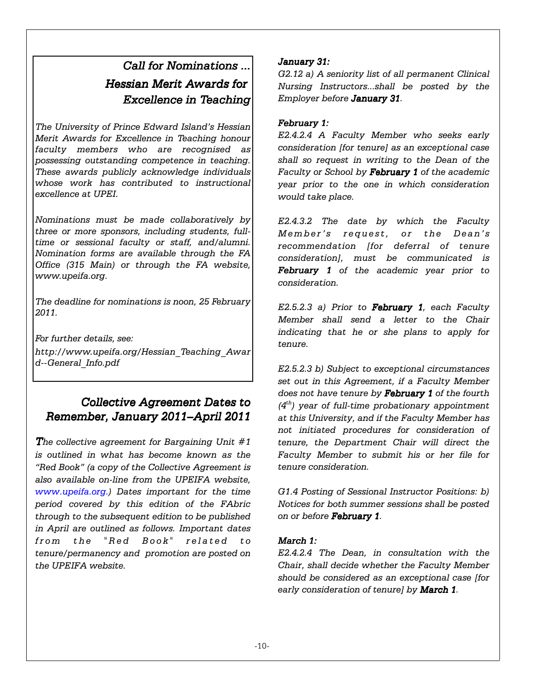# Call for Nominations ... Hessian Merit Awards for Excellence in Teaching Excellence in Teaching

The University of Prince Edward Island's Hessian Merit Awards for Excellence in Teaching honour faculty members who are recognised as possessing outstanding competence in teaching. These awards publicly acknowledge individuals whose work has contributed to instructional excellence at UPEI.

Nominations must be made collaboratively by three or more sponsors, including students, fulltime or sessional faculty or staff, and/alumni. Nomination forms are available through the FA Office (315 Main) or through the FA website, www.upeifa.org.

The deadline for nominations is noon, 25 February 2011.

For further details, see:

http://www.upeifa.org/Hessian\_Teaching\_Awar d--General\_Info.pdf

## Collective Agreement Dates to Remember, January 2011–April 2011

The collective agreement for Bargaining Unit  $#1$ is outlined in what has become known as the "Red Book" (a copy of the Collective Agreement is also available on-line from the UPEIFA website, www.upeifa.org.) Dates important for the time period covered by this edition of the FAbric through to the subsequent edition to be published in April are outlined as follows. Important dates from the "Red Book" related to tenure/permanency and promotion are posted on the UPEIFA website.

## January 31:

G2.12 a) A seniority list of all permanent Clinical Nursing Instructors...shall be posted by the Employer before January 31.

## February 1:

E2.4.2.4 A Faculty Member who seeks early consideration [for tenure] as an exceptional case shall so request in writing to the Dean of the Faculty or School by February 1 of the academic year prior to the one in which consideration would take place.

E2.4.3.2 The date by which the Faculty Member's request, or the Dean's recommendation [for deferral of tenure consideration], must be communicated is February 1 of the academic year prior to consideration.

E2.5.2.3 a) Prior to February 1, each Faculty Member shall send a letter to the Chair indicating that he or she plans to apply for tenure.

E2.5.2.3 b) Subject to exceptional circumstances set out in this Agreement, if a Faculty Member does not have tenure by February 1 of the fourth  $(4<sup>th</sup>)$  year of full-time probationary appointment at this University, and if the Faculty Member has not initiated procedures for consideration of tenure, the Department Chair will direct the Faculty Member to submit his or her file for tenure consideration.

G1.4 Posting of Sessional Instructor Positions: b) Notices for both summer sessions shall be posted on or before February 1.

## March 1:

E2.4.2.4 The Dean, in consultation with the Chair, shall decide whether the Faculty Member should be considered as an exceptional case [for early consideration of tenure] by March 1.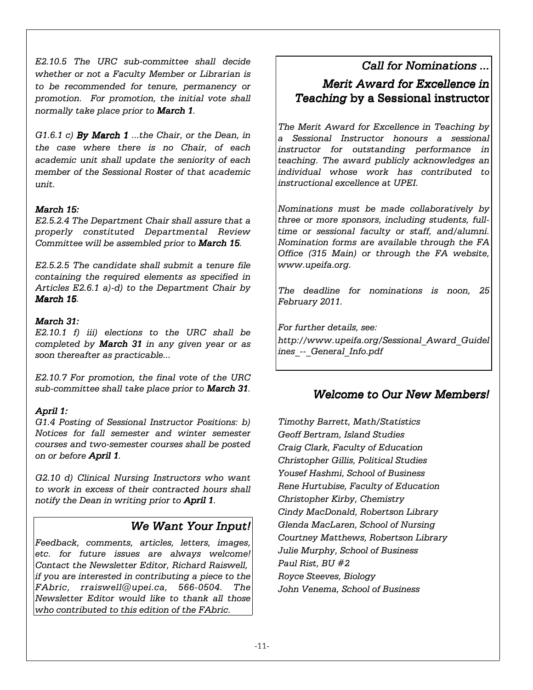E2.10.5 The URC sub-committee shall decide whether or not a Faculty Member or Librarian is to be recommended for tenure, permanency or promotion. For promotion, the initial vote shall normally take place prior to March 1.

G1.6.1 c) By March 1  $...$ the Chair, or the Dean, in the case where there is no Chair, of each academic unit shall update the seniority of each member of the Sessional Roster of that academic unit.

## March 15:

E2.5.2.4 The Department Chair shall assure that a properly constituted Departmental Review Committee will be assembled prior to March 15.

E2.5.2.5 The candidate shall submit a tenure file containing the required elements as specified in Articles E2.6.1 a)-d) to the Department Chair by March 15.

### March 31:

E2.10.1 f) iii) elections to the URC shall be completed by March 31 in any given year or as soon thereafter as practicable...

E2.10.7 For promotion, the final vote of the URC sub-committee shall take place prior to March 31.

## April 1:

G1.4 Posting of Sessional Instructor Positions: b) Notices for fall semester and winter semester courses and two-semester courses shall be posted on or before April 1.

G2.10 d) Clinical Nursing Instructors who want to work in excess of their contracted hours shall notify the Dean in writing prior to April 1.

## We Want Your Input!

Feedback, comments, articles, letters, images, etc. for future issues are always welcome! Contact the Newsletter Editor, Richard Raiswell, if you are interested in contributing a piece to the FAbric, rraiswell@upei.ca, 566-0504. The Newsletter Editor would like to thank all those who contributed to this edition of the FAbric.

## Call for Nominations ...

# Merit Award for Excellence in Teaching by a Sessional instructor

The Merit Award for Excellence in Teaching by a Sessional Instructor honours a sessional instructor for outstanding performance in teaching. The award publicly acknowledges an individual whose work has contributed to instructional excellence at UPEI.

Nominations must be made collaboratively by three or more sponsors, including students, fulltime or sessional faculty or staff, and/alumni. Nomination forms are available through the FA Office (315 Main) or through the FA website, www.upeifa.org.

The deadline for nominations is noon, 25 February 2011.

For further details, see: http://www.upeifa.org/Sessional\_Award\_Guidel ines\_--\_General\_Info.pdf

## Welcome to Our New Members!

Timothy Barrett, Math/Statistics Geoff Bertram, Island Studies Craig Clark, Faculty of Education Christopher Gillis, Political Studies Yousef Hashmi, School of Business Rene Hurtubise, Faculty of Education Christopher Kirby, Chemistry Cindy MacDonald, Robertson Library Glenda MacLaren, School of Nursing Courtney Matthews, Robertson Library Julie Murphy, School of Business Paul Rist, BU #2 Royce Steeves, Biology John Venema, School of Business